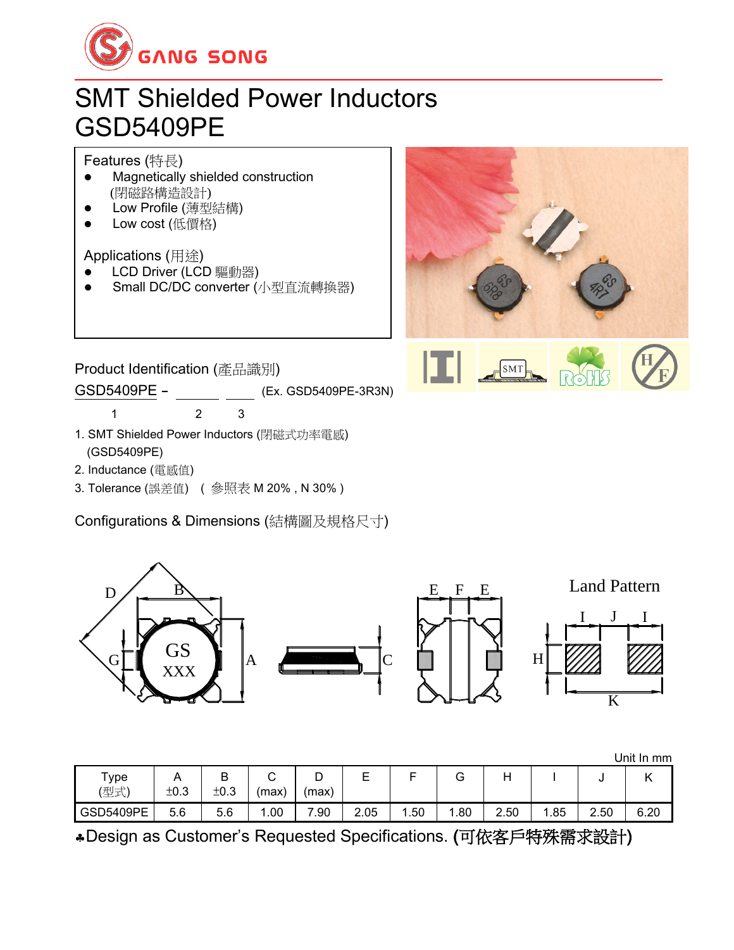

## SMT Shielded Power Inductors GSD5409PE

Features (特長)

- ⚫ Magnetically shielded construction (閉磁路構造設計)
- ⚫ Low Profile (薄型結構)
- Low cost (低價格)

Applications (用途)

- LCD Driver (LCD 驅動器)
- ⚫ Small DC/DC converter (小型直流轉換器)



Product Identification (產品識別) GSD5409PE - (Ex. GSD5409PE-3R3N) 1 2 3

- 1. SMT Shielded Power Inductors (閉磁式功率電感) (GSD5409PE)
- 2. Inductance (電感值)
- 3. Tolerance (誤差值) ( 參照表 M 20% , N 30% )

Configurations & Dimensions (結構圖及規格尺寸)



|                  |      |           |                      |            |      |       |      |      |     |      | Unit In mm              |
|------------------|------|-----------|----------------------|------------|------|-------|------|------|-----|------|-------------------------|
| Туре<br>(型式)     | ±0.3 | ◡<br>±0.3 | $\sim$<br>ັ<br>(max) | ◡<br>(max) | –    |       | G    |      |     | u    | $\overline{\mathbf{v}}$ |
| <b>GSD5409PE</b> | 5.6  | 5.6       | .00،                 | .90        | 2.05 | . .50 | 1.80 | 2.50 | .85 | 2.50 | 6.20                    |

Design as Customer's Requested Specifications. (可依客戶特殊需求設計)